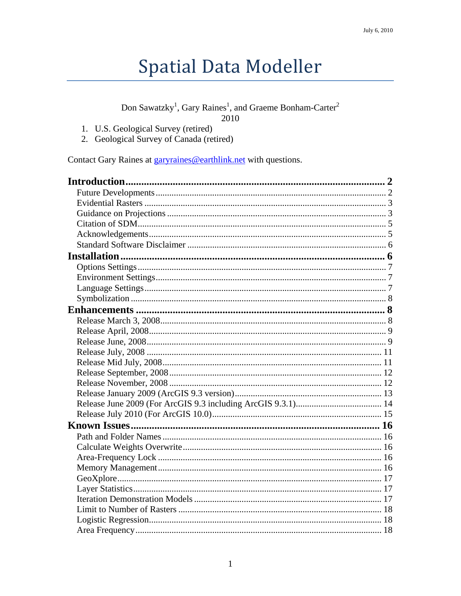# **Spatial Data Modeller**

# Don Sawatzky<sup>1</sup>, Gary Raines<sup>1</sup>, and Graeme Bonham-Carter<sup>2</sup>

2010

- 1. U.S. Geological Survey (retired)
- 2. Geological Survey of Canada (retired)

Contact Gary Raines at garyraines@earthlink.net with questions.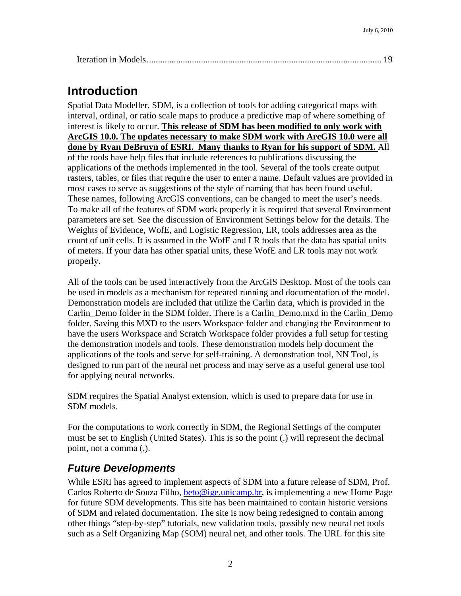|--|

# **Introduction**

Spatial Data Modeller, SDM, is a collection of tools for adding categorical maps with interval, ordinal, or ratio scale maps to produce a predictive map of where something of interest is likely to occur. **This release of SDM has been modified to only work with ArcGIS 10.0. The updates necessary to make SDM work with ArcGIS 10.0 were all done by Ryan DeBruyn of ESRI. Many thanks to Ryan for his support of SDM.** All of the tools have help files that include references to publications discussing the applications of the methods implemented in the tool. Several of the tools create output rasters, tables, or files that require the user to enter a name. Default values are provided in most cases to serve as suggestions of the style of naming that has been found useful. These names, following ArcGIS conventions, can be changed to meet the user's needs. To make all of the features of SDM work properly it is required that several Environment parameters are set. See the discussion of Environment Settings below for the details. The Weights of Evidence, WofE, and Logistic Regression, LR, tools addresses area as the count of unit cells. It is assumed in the WofE and LR tools that the data has spatial units of meters. If your data has other spatial units, these WofE and LR tools may not work properly.

All of the tools can be used interactively from the ArcGIS Desktop. Most of the tools can be used in models as a mechanism for repeated running and documentation of the model. Demonstration models are included that utilize the Carlin data, which is provided in the Carlin\_Demo folder in the SDM folder. There is a Carlin\_Demo.mxd in the Carlin\_Demo folder. Saving this MXD to the users Workspace folder and changing the Environment to have the users Workspace and Scratch Workspace folder provides a full setup for testing the demonstration models and tools. These demonstration models help document the applications of the tools and serve for self-training. A demonstration tool, NN Tool, is designed to run part of the neural net process and may serve as a useful general use tool for applying neural networks.

SDM requires the Spatial Analyst extension, which is used to prepare data for use in SDM models.

For the computations to work correctly in SDM, the Regional Settings of the computer must be set to English (United States). This is so the point (.) will represent the decimal point, not a comma (,).

# *Future Developments*

While ESRI has agreed to implement aspects of SDM into a future release of SDM, Prof. Carlos Roberto de Souza Filho, beto@ige.unicamp.br, is implementing a new Home Page for future SDM developments. This site has been maintained to contain historic versions of SDM and related documentation. The site is now being redesigned to contain among other things "step-by-step" tutorials, new validation tools, possibly new neural net tools such as a Self Organizing Map (SOM) neural net, and other tools. The URL for this site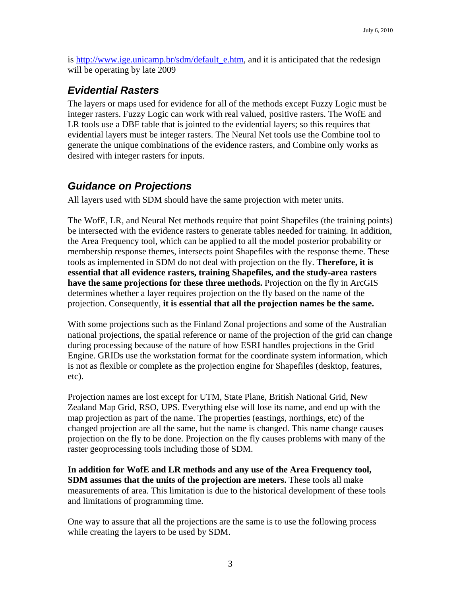is http://www.ige.unicamp.br/sdm/default\_e.htm, and it is anticipated that the redesign will be operating by late 2009

### *Evidential Rasters*

The layers or maps used for evidence for all of the methods except Fuzzy Logic must be integer rasters. Fuzzy Logic can work with real valued, positive rasters. The WofE and LR tools use a DBF table that is jointed to the evidential layers; so this requires that evidential layers must be integer rasters. The Neural Net tools use the Combine tool to generate the unique combinations of the evidence rasters, and Combine only works as desired with integer rasters for inputs.

### *Guidance on Projections*

All layers used with SDM should have the same projection with meter units.

The WofE, LR, and Neural Net methods require that point Shapefiles (the training points) be intersected with the evidence rasters to generate tables needed for training. In addition, the Area Frequency tool, which can be applied to all the model posterior probability or membership response themes, intersects point Shapefiles with the response theme. These tools as implemented in SDM do not deal with projection on the fly. **Therefore, it is essential that all evidence rasters, training Shapefiles, and the study-area rasters have the same projections for these three methods.** Projection on the fly in ArcGIS determines whether a layer requires projection on the fly based on the name of the projection. Consequently, **it is essential that all the projection names be the same.**

With some projections such as the Finland Zonal projections and some of the Australian national projections, the spatial reference or name of the projection of the grid can change during processing because of the nature of how ESRI handles projections in the Grid Engine. GRIDs use the workstation format for the coordinate system information, which is not as flexible or complete as the projection engine for Shapefiles (desktop, features, etc).

Projection names are lost except for UTM, State Plane, British National Grid, New Zealand Map Grid, RSO, UPS. Everything else will lose its name, and end up with the map projection as part of the name. The properties (eastings, northings, etc) of the changed projection are all the same, but the name is changed. This name change causes projection on the fly to be done. Projection on the fly causes problems with many of the raster geoprocessing tools including those of SDM.

**In addition for WofE and LR methods and any use of the Area Frequency tool, SDM assumes that the units of the projection are meters.** These tools all make measurements of area. This limitation is due to the historical development of these tools and limitations of programming time.

One way to assure that all the projections are the same is to use the following process while creating the layers to be used by SDM.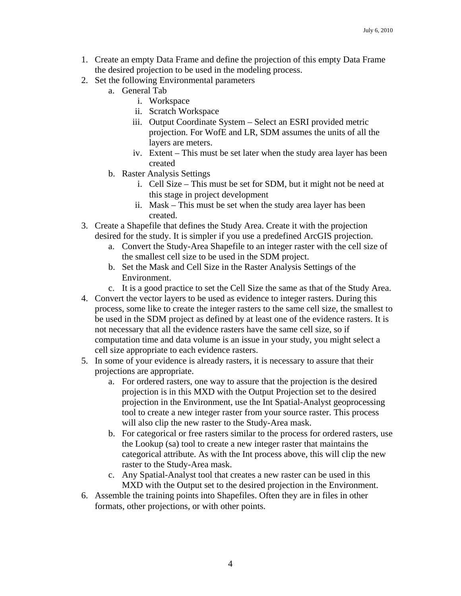- 1. Create an empty Data Frame and define the projection of this empty Data Frame the desired projection to be used in the modeling process.
- 2. Set the following Environmental parameters
	- a. General Tab
		- i. Workspace
		- ii. Scratch Workspace
		- iii. Output Coordinate System Select an ESRI provided metric projection. For WofE and LR, SDM assumes the units of all the layers are meters.
		- iv. Extent This must be set later when the study area layer has been created
	- b. Raster Analysis Settings
		- i. Cell Size This must be set for SDM, but it might not be need at this stage in project development
		- ii. Mask This must be set when the study area layer has been created.
- 3. Create a Shapefile that defines the Study Area. Create it with the projection desired for the study. It is simpler if you use a predefined ArcGIS projection.
	- a. Convert the Study-Area Shapefile to an integer raster with the cell size of the smallest cell size to be used in the SDM project.
	- b. Set the Mask and Cell Size in the Raster Analysis Settings of the Environment.
	- c. It is a good practice to set the Cell Size the same as that of the Study Area.
- 4. Convert the vector layers to be used as evidence to integer rasters. During this process, some like to create the integer rasters to the same cell size, the smallest to be used in the SDM project as defined by at least one of the evidence rasters. It is not necessary that all the evidence rasters have the same cell size, so if computation time and data volume is an issue in your study, you might select a cell size appropriate to each evidence rasters.
- 5. In some of your evidence is already rasters, it is necessary to assure that their projections are appropriate.
	- a. For ordered rasters, one way to assure that the projection is the desired projection is in this MXD with the Output Projection set to the desired projection in the Environment, use the Int Spatial-Analyst geoprocessing tool to create a new integer raster from your source raster. This process will also clip the new raster to the Study-Area mask.
	- b. For categorical or free rasters similar to the process for ordered rasters, use the Lookup (sa) tool to create a new integer raster that maintains the categorical attribute. As with the Int process above, this will clip the new raster to the Study-Area mask.
	- c. Any Spatial-Analyst tool that creates a new raster can be used in this MXD with the Output set to the desired projection in the Environment.
- 6. Assemble the training points into Shapefiles. Often they are in files in other formats, other projections, or with other points.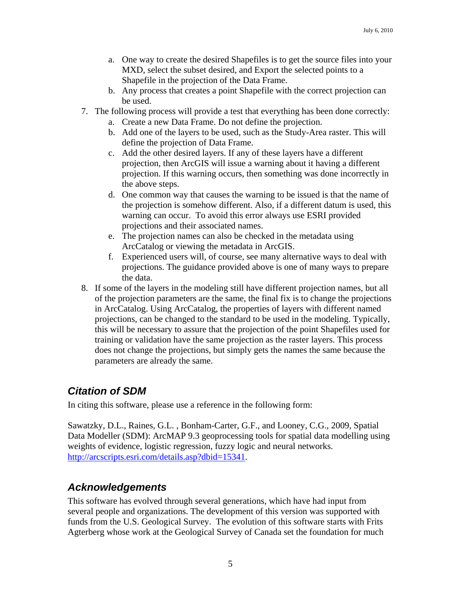- a. One way to create the desired Shapefiles is to get the source files into your MXD, select the subset desired, and Export the selected points to a Shapefile in the projection of the Data Frame.
- b. Any process that creates a point Shapefile with the correct projection can be used.
- 7. The following process will provide a test that everything has been done correctly:
	- a. Create a new Data Frame. Do not define the projection.
	- b. Add one of the layers to be used, such as the Study-Area raster. This will define the projection of Data Frame.
	- c. Add the other desired layers. If any of these layers have a different projection, then ArcGIS will issue a warning about it having a different projection. If this warning occurs, then something was done incorrectly in the above steps.
	- d. One common way that causes the warning to be issued is that the name of the projection is somehow different. Also, if a different datum is used, this warning can occur. To avoid this error always use ESRI provided projections and their associated names.
	- e. The projection names can also be checked in the metadata using ArcCatalog or viewing the metadata in ArcGIS.
	- f. Experienced users will, of course, see many alternative ways to deal with projections. The guidance provided above is one of many ways to prepare the data.
- 8. If some of the layers in the modeling still have different projection names, but all of the projection parameters are the same, the final fix is to change the projections in ArcCatalog. Using ArcCatalog, the properties of layers with different named projections, can be changed to the standard to be used in the modeling. Typically, this will be necessary to assure that the projection of the point Shapefiles used for training or validation have the same projection as the raster layers. This process does not change the projections, but simply gets the names the same because the parameters are already the same.

### *Citation of SDM*

In citing this software, please use a reference in the following form:

Sawatzky, D.L., Raines, G.L. , Bonham-Carter, G.F., and Looney, C.G., 2009, Spatial Data Modeller (SDM): ArcMAP 9.3 geoprocessing tools for spatial data modelling using weights of evidence, logistic regression, fuzzy logic and neural networks. http://arcscripts.esri.com/details.asp?dbid=15341.

#### *Acknowledgements*

This software has evolved through several generations, which have had input from several people and organizations. The development of this version was supported with funds from the U.S. Geological Survey. The evolution of this software starts with Frits Agterberg whose work at the Geological Survey of Canada set the foundation for much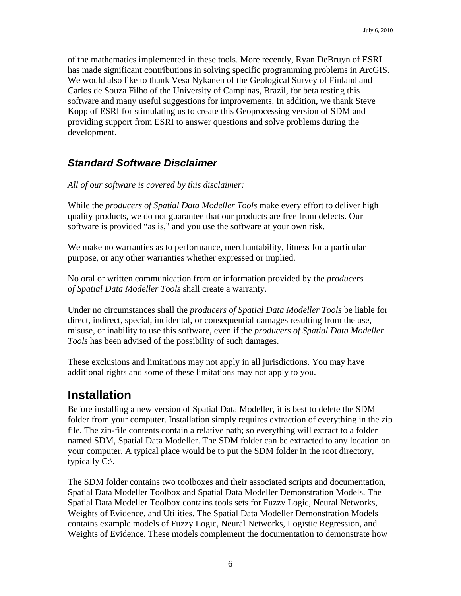of the mathematics implemented in these tools. More recently, Ryan DeBruyn of ESRI has made significant contributions in solving specific programming problems in ArcGIS. We would also like to thank Vesa Nykanen of the Geological Survey of Finland and Carlos de Souza Filho of the University of Campinas, Brazil, for beta testing this software and many useful suggestions for improvements. In addition, we thank Steve Kopp of ESRI for stimulating us to create this Geoprocessing version of SDM and providing support from ESRI to answer questions and solve problems during the development.

### *Standard Software Disclaimer*

*All of our software is covered by this disclaimer:*

While the *producers of Spatial Data Modeller Tools* make every effort to deliver high quality products, we do not guarantee that our products are free from defects. Our software is provided "as is," and you use the software at your own risk.

We make no warranties as to performance, merchantability, fitness for a particular purpose, or any other warranties whether expressed or implied.

No oral or written communication from or information provided by the *producers of Spatial Data Modeller Tools* shall create a warranty.

Under no circumstances shall the *producers of Spatial Data Modeller Tools* be liable for direct, indirect, special, incidental, or consequential damages resulting from the use, misuse, or inability to use this software, even if the *producers of Spatial Data Modeller Tools* has been advised of the possibility of such damages.

These exclusions and limitations may not apply in all jurisdictions. You may have additional rights and some of these limitations may not apply to you.

# **Installation**

Before installing a new version of Spatial Data Modeller, it is best to delete the SDM folder from your computer. Installation simply requires extraction of everything in the zip file. The zip-file contents contain a relative path; so everything will extract to a folder named SDM, Spatial Data Modeller. The SDM folder can be extracted to any location on your computer. A typical place would be to put the SDM folder in the root directory, typically  $C:\mathcal{C}$ .

The SDM folder contains two toolboxes and their associated scripts and documentation, Spatial Data Modeller Toolbox and Spatial Data Modeller Demonstration Models. The Spatial Data Modeller Toolbox contains tools sets for Fuzzy Logic, Neural Networks, Weights of Evidence, and Utilities. The Spatial Data Modeller Demonstration Models contains example models of Fuzzy Logic, Neural Networks, Logistic Regression, and Weights of Evidence. These models complement the documentation to demonstrate how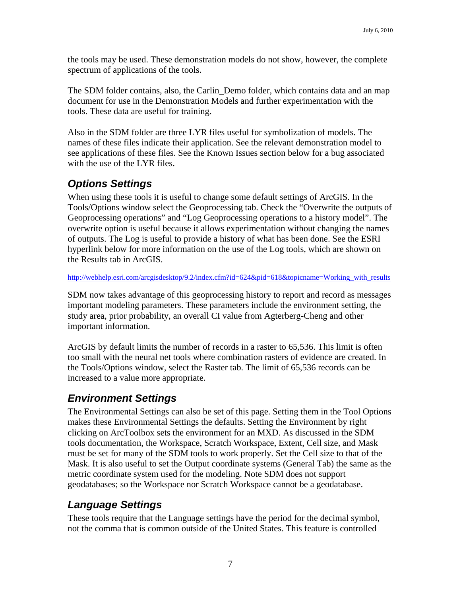the tools may be used. These demonstration models do not show, however, the complete spectrum of applications of the tools.

The SDM folder contains, also, the Carlin\_Demo folder, which contains data and an map document for use in the Demonstration Models and further experimentation with the tools. These data are useful for training.

Also in the SDM folder are three LYR files useful for symbolization of models. The names of these files indicate their application. See the relevant demonstration model to see applications of these files. See the Known Issues section below for a bug associated with the use of the LYR files.

# *Options Settings*

When using these tools it is useful to change some default settings of ArcGIS. In the Tools/Options window select the Geoprocessing tab. Check the "Overwrite the outputs of Geoprocessing operations" and "Log Geoprocessing operations to a history model". The overwrite option is useful because it allows experimentation without changing the names of outputs. The Log is useful to provide a history of what has been done. See the ESRI hyperlink below for more information on the use of the Log tools, which are shown on the Results tab in ArcGIS.

http://webhelp.esri.com/arcgisdesktop/9.2/index.cfm?id=624&pid=618&topicname=Working\_with\_results

SDM now takes advantage of this geoprocessing history to report and record as messages important modeling parameters. These parameters include the environment setting, the study area, prior probability, an overall CI value from Agterberg-Cheng and other important information.

ArcGIS by default limits the number of records in a raster to 65,536. This limit is often too small with the neural net tools where combination rasters of evidence are created. In the Tools/Options window, select the Raster tab. The limit of 65,536 records can be increased to a value more appropriate.

# *Environment Settings*

The Environmental Settings can also be set of this page. Setting them in the Tool Options makes these Environmental Settings the defaults. Setting the Environment by right clicking on ArcToolbox sets the environment for an MXD. As discussed in the SDM tools documentation, the Workspace, Scratch Workspace, Extent, Cell size, and Mask must be set for many of the SDM tools to work properly. Set the Cell size to that of the Mask. It is also useful to set the Output coordinate systems (General Tab) the same as the metric coordinate system used for the modeling. Note SDM does not support geodatabases; so the Workspace nor Scratch Workspace cannot be a geodatabase.

# *Language Settings*

These tools require that the Language settings have the period for the decimal symbol, not the comma that is common outside of the United States. This feature is controlled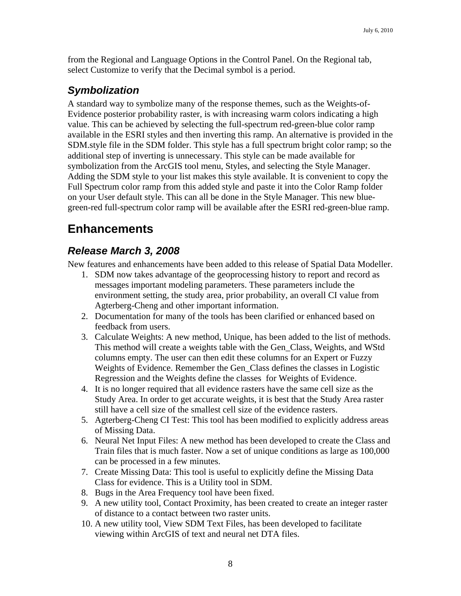from the Regional and Language Options in the Control Panel. On the Regional tab, select Customize to verify that the Decimal symbol is a period.

# *Symbolization*

A standard way to symbolize many of the response themes, such as the Weights-of-Evidence posterior probability raster, is with increasing warm colors indicating a high value. This can be achieved by selecting the full-spectrum red-green-blue color ramp available in the ESRI styles and then inverting this ramp. An alternative is provided in the SDM.style file in the SDM folder. This style has a full spectrum bright color ramp; so the additional step of inverting is unnecessary. This style can be made available for symbolization from the ArcGIS tool menu, Styles, and selecting the Style Manager. Adding the SDM style to your list makes this style available. It is convenient to copy the Full Spectrum color ramp from this added style and paste it into the Color Ramp folder on your User default style. This can all be done in the Style Manager. This new bluegreen-red full-spectrum color ramp will be available after the ESRI red-green-blue ramp.

# **Enhancements**

# *Release March 3, 2008*

New features and enhancements have been added to this release of Spatial Data Modeller.

- 1. SDM now takes advantage of the geoprocessing history to report and record as messages important modeling parameters. These parameters include the environment setting, the study area, prior probability, an overall CI value from Agterberg-Cheng and other important information.
- 2. Documentation for many of the tools has been clarified or enhanced based on feedback from users.
- 3. Calculate Weights: A new method, Unique, has been added to the list of methods. This method will create a weights table with the Gen\_Class, Weights, and WStd columns empty. The user can then edit these columns for an Expert or Fuzzy Weights of Evidence. Remember the Gen\_Class defines the classes in Logistic Regression and the Weights define the classes for Weights of Evidence.
- 4. It is no longer required that all evidence rasters have the same cell size as the Study Area. In order to get accurate weights, it is best that the Study Area raster still have a cell size of the smallest cell size of the evidence rasters.
- 5. Agterberg-Cheng CI Test: This tool has been modified to explicitly address areas of Missing Data.
- 6. Neural Net Input Files: A new method has been developed to create the Class and Train files that is much faster. Now a set of unique conditions as large as 100,000 can be processed in a few minutes.
- 7. Create Missing Data: This tool is useful to explicitly define the Missing Data Class for evidence. This is a Utility tool in SDM.
- 8. Bugs in the Area Frequency tool have been fixed.
- 9. A new utility tool, Contact Proximity, has been created to create an integer raster of distance to a contact between two raster units.
- 10. A new utility tool, View SDM Text Files, has been developed to facilitate viewing within ArcGIS of text and neural net DTA files.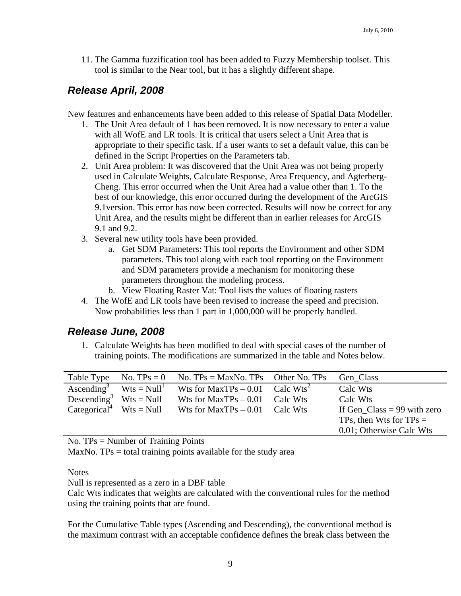11. The Gamma fuzzification tool has been added to Fuzzy Membership toolset. This tool is similar to the Near tool, but it has a slightly different shape.

#### *Release April, 2008*

New features and enhancements have been added to this release of Spatial Data Modeller.

- 1. The Unit Area default of 1 has been removed. It is now necessary to enter a value with all WofE and LR tools. It is critical that users select a Unit Area that is appropriate to their specific task. If a user wants to set a default value, this can be defined in the Script Properties on the Parameters tab.
- 2. Unit Area problem: It was discovered that the Unit Area was not being properly used in Calculate Weights, Calculate Response, Area Frequency, and Agterberg-Cheng. This error occurred when the Unit Area had a value other than 1. To the best of our knowledge, this error occurred during the development of the ArcGIS 9.1version. This error has now been corrected. Results will now be correct for any Unit Area, and the results might be different than in earlier releases for ArcGIS 9.1 and 9.2.
- 3. Several new utility tools have been provided.
	- a. Get SDM Parameters: This tool reports the Environment and other SDM parameters. This tool along with each tool reporting on the Environment and SDM parameters provide a mechanism for monitoring these parameters throughout the modeling process.
	- b. View Floating Raster Vat: Tool lists the values of floating rasters
- 4. The WofE and LR tools have been revised to increase the speed and precision. Now probabilities less than 1 part in 1,000,000 will be properly handled.

#### *Release June, 2008*

1. Calculate Weights has been modified to deal with special cases of the number of training points. The modifications are summarized in the table and Notes below.

| Table Type                          | No. TPs $= 0$ | No. $TPs = MaxNo$ . $TPs$ Other No. $TPs$ |                      | Gen Class                     |
|-------------------------------------|---------------|-------------------------------------------|----------------------|-------------------------------|
| Ascending <sup>3</sup>              | $Wts = NullT$ | Wts for $MaxTPs - 0.01$                   | Calc $Wts^2$         | Calc Wts                      |
| Descending $3$                      | $Wts = Null$  | Wts for $MaxTPs - 0.01$                   | Calc W <sub>ts</sub> | Calc Wts                      |
| Categorical <sup>4</sup> Wts = Null |               | Wts for $MaxTPs - 0.01$                   | Calc Wts             | If Gen $Class = 99$ with zero |
|                                     |               |                                           |                      | TPs, then Wts for $TPs =$     |
|                                     |               |                                           |                      | 0.01; Otherwise Calc Wts      |

No. TPs = Number of Training Points

 $MaxNo. TPs = total training points available for the study area$ 

**Notes** 

Null is represented as a zero in a DBF table

Calc Wts indicates that weights are calculated with the conventional rules for the method using the training points that are found.

For the Cumulative Table types (Ascending and Descending), the conventional method is the maximum contrast with an acceptable confidence defines the break class between the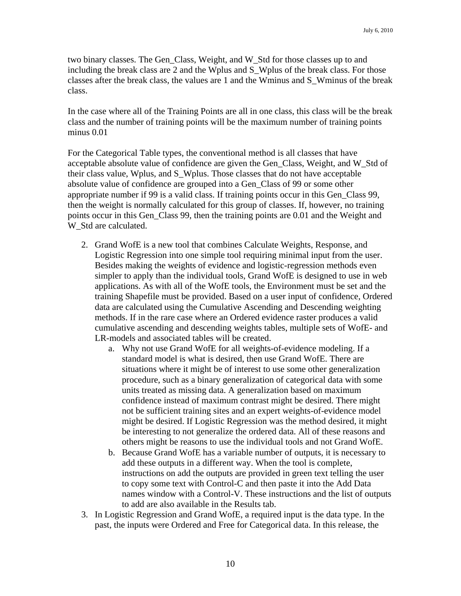two binary classes. The Gen\_Class, Weight, and W\_Std for those classes up to and including the break class are 2 and the Wplus and S\_Wplus of the break class. For those classes after the break class, the values are 1 and the Wminus and S\_Wminus of the break class.

In the case where all of the Training Points are all in one class, this class will be the break class and the number of training points will be the maximum number of training points minus 0.01

For the Categorical Table types, the conventional method is all classes that have acceptable absolute value of confidence are given the Gen\_Class, Weight, and W\_Std of their class value, Wplus, and S\_Wplus. Those classes that do not have acceptable absolute value of confidence are grouped into a Gen\_Class of 99 or some other appropriate number if 99 is a valid class. If training points occur in this Gen\_Class 99, then the weight is normally calculated for this group of classes. If, however, no training points occur in this Gen\_Class 99, then the training points are 0.01 and the Weight and W\_Std are calculated.

- 2. Grand WofE is a new tool that combines Calculate Weights, Response, and Logistic Regression into one simple tool requiring minimal input from the user. Besides making the weights of evidence and logistic-regression methods even simpler to apply than the individual tools, Grand WofE is designed to use in web applications. As with all of the WofE tools, the Environment must be set and the training Shapefile must be provided. Based on a user input of confidence, Ordered data are calculated using the Cumulative Ascending and Descending weighting methods. If in the rare case where an Ordered evidence raster produces a valid cumulative ascending and descending weights tables, multiple sets of WofE- and LR-models and associated tables will be created.
	- a. Why not use Grand WofE for all weights-of-evidence modeling. If a standard model is what is desired, then use Grand WofE. There are situations where it might be of interest to use some other generalization procedure, such as a binary generalization of categorical data with some units treated as missing data. A generalization based on maximum confidence instead of maximum contrast might be desired. There might not be sufficient training sites and an expert weights-of-evidence model might be desired. If Logistic Regression was the method desired, it might be interesting to not generalize the ordered data. All of these reasons and others might be reasons to use the individual tools and not Grand WofE.
	- b. Because Grand WofE has a variable number of outputs, it is necessary to add these outputs in a different way. When the tool is complete, instructions on add the outputs are provided in green text telling the user to copy some text with Control-C and then paste it into the Add Data names window with a Control-V. These instructions and the list of outputs to add are also available in the Results tab.
- 3. In Logistic Regression and Grand WofE, a required input is the data type. In the past, the inputs were Ordered and Free for Categorical data. In this release, the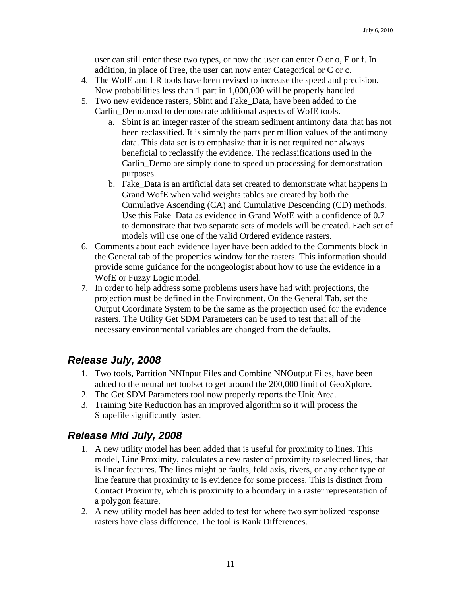user can still enter these two types, or now the user can enter O or o, F or f. In addition, in place of Free, the user can now enter Categorical or C or c.

- 4. The WofE and LR tools have been revised to increase the speed and precision. Now probabilities less than 1 part in 1,000,000 will be properly handled.
- 5. Two new evidence rasters, Sbint and Fake\_Data, have been added to the Carlin\_Demo.mxd to demonstrate additional aspects of WofE tools.
	- a. Sbint is an integer raster of the stream sediment antimony data that has not been reclassified. It is simply the parts per million values of the antimony data. This data set is to emphasize that it is not required nor always beneficial to reclassify the evidence. The reclassifications used in the Carlin\_Demo are simply done to speed up processing for demonstration purposes.
	- b. Fake\_Data is an artificial data set created to demonstrate what happens in Grand WofE when valid weights tables are created by both the Cumulative Ascending (CA) and Cumulative Descending (CD) methods. Use this Fake\_Data as evidence in Grand WofE with a confidence of 0.7 to demonstrate that two separate sets of models will be created. Each set of models will use one of the valid Ordered evidence rasters.
- 6. Comments about each evidence layer have been added to the Comments block in the General tab of the properties window for the rasters. This information should provide some guidance for the nongeologist about how to use the evidence in a WofE or Fuzzy Logic model.
- 7. In order to help address some problems users have had with projections, the projection must be defined in the Environment. On the General Tab, set the Output Coordinate System to be the same as the projection used for the evidence rasters. The Utility Get SDM Parameters can be used to test that all of the necessary environmental variables are changed from the defaults.

#### *Release July, 2008*

- 1. Two tools, Partition NNInput Files and Combine NNOutput Files, have been added to the neural net toolset to get around the 200,000 limit of GeoXplore.
- 2. The Get SDM Parameters tool now properly reports the Unit Area.
- 3. Training Site Reduction has an improved algorithm so it will process the Shapefile significantly faster.

#### *Release Mid July, 2008*

- 1. A new utility model has been added that is useful for proximity to lines. This model, Line Proximity, calculates a new raster of proximity to selected lines, that is linear features. The lines might be faults, fold axis, rivers, or any other type of line feature that proximity to is evidence for some process. This is distinct from Contact Proximity, which is proximity to a boundary in a raster representation of a polygon feature.
- 2. A new utility model has been added to test for where two symbolized response rasters have class difference. The tool is Rank Differences.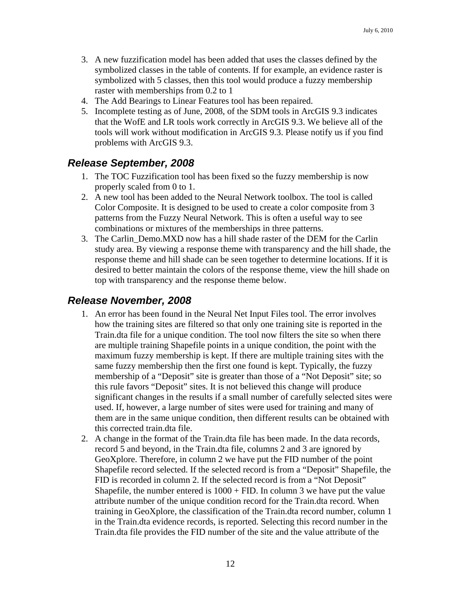- 3. A new fuzzification model has been added that uses the classes defined by the symbolized classes in the table of contents. If for example, an evidence raster is symbolized with 5 classes, then this tool would produce a fuzzy membership raster with memberships from 0.2 to 1
- 4. The Add Bearings to Linear Features tool has been repaired.
- 5. Incomplete testing as of June, 2008, of the SDM tools in ArcGIS 9.3 indicates that the WofE and LR tools work correctly in ArcGIS 9.3. We believe all of the tools will work without modification in ArcGIS 9.3. Please notify us if you find problems with ArcGIS 9.3.

#### *Release September, 2008*

- 1. The TOC Fuzzification tool has been fixed so the fuzzy membership is now properly scaled from 0 to 1.
- 2. A new tool has been added to the Neural Network toolbox. The tool is called Color Composite. It is designed to be used to create a color composite from 3 patterns from the Fuzzy Neural Network. This is often a useful way to see combinations or mixtures of the memberships in three patterns.
- 3. The Carlin\_Demo.MXD now has a hill shade raster of the DEM for the Carlin study area. By viewing a response theme with transparency and the hill shade, the response theme and hill shade can be seen together to determine locations. If it is desired to better maintain the colors of the response theme, view the hill shade on top with transparency and the response theme below.

#### *Release November, 2008*

- 1. An error has been found in the Neural Net Input Files tool. The error involves how the training sites are filtered so that only one training site is reported in the Train.dta file for a unique condition. The tool now filters the site so when there are multiple training Shapefile points in a unique condition, the point with the maximum fuzzy membership is kept. If there are multiple training sites with the same fuzzy membership then the first one found is kept. Typically, the fuzzy membership of a "Deposit" site is greater than those of a "Not Deposit" site; so this rule favors "Deposit" sites. It is not believed this change will produce significant changes in the results if a small number of carefully selected sites were used. If, however, a large number of sites were used for training and many of them are in the same unique condition, then different results can be obtained with this corrected train.dta file.
- 2. A change in the format of the Train.dta file has been made. In the data records, record 5 and beyond, in the Train.dta file, columns 2 and 3 are ignored by GeoXplore. Therefore, in column 2 we have put the FID number of the point Shapefile record selected. If the selected record is from a "Deposit" Shapefile, the FID is recorded in column 2. If the selected record is from a "Not Deposit" Shapefile, the number entered is  $1000 + FID$ . In column 3 we have put the value attribute number of the unique condition record for the Train.dta record. When training in GeoXplore, the classification of the Train.dta record number, column 1 in the Train.dta evidence records, is reported. Selecting this record number in the Train.dta file provides the FID number of the site and the value attribute of the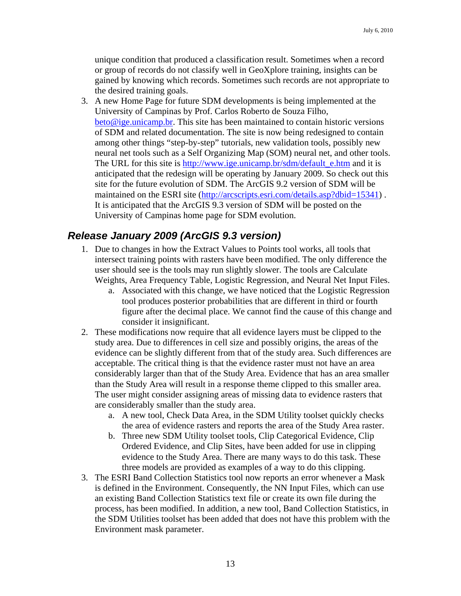unique condition that produced a classification result. Sometimes when a record or group of records do not classify well in GeoXplore training, insights can be gained by knowing which records. Sometimes such records are not appropriate to the desired training goals.

3. A new Home Page for future SDM developments is being implemented at the University of Campinas by Prof. Carlos Roberto de Souza Filho, beto@ige.unicamp.br. This site has been maintained to contain historic versions of SDM and related documentation. The site is now being redesigned to contain among other things "step-by-step" tutorials, new validation tools, possibly new neural net tools such as a Self Organizing Map (SOM) neural net, and other tools. The URL for this site is http://www.ige.unicamp.br/sdm/default\_e.htm and it is anticipated that the redesign will be operating by January 2009. So check out this site for the future evolution of SDM. The ArcGIS 9.2 version of SDM will be maintained on the ESRI site (http://arcscripts.esri.com/details.asp?dbid=15341). It is anticipated that the ArcGIS 9.3 version of SDM will be posted on the University of Campinas home page for SDM evolution.

#### *Release January 2009 (ArcGIS 9.3 version)*

- 1. Due to changes in how the Extract Values to Points tool works, all tools that intersect training points with rasters have been modified. The only difference the user should see is the tools may run slightly slower. The tools are Calculate Weights, Area Frequency Table, Logistic Regression, and Neural Net Input Files.
	- a. Associated with this change, we have noticed that the Logistic Regression tool produces posterior probabilities that are different in third or fourth figure after the decimal place. We cannot find the cause of this change and consider it insignificant.
- 2. These modifications now require that all evidence layers must be clipped to the study area. Due to differences in cell size and possibly origins, the areas of the evidence can be slightly different from that of the study area. Such differences are acceptable. The critical thing is that the evidence raster must not have an area considerably larger than that of the Study Area. Evidence that has an area smaller than the Study Area will result in a response theme clipped to this smaller area. The user might consider assigning areas of missing data to evidence rasters that are considerably smaller than the study area.
	- a. A new tool, Check Data Area, in the SDM Utility toolset quickly checks the area of evidence rasters and reports the area of the Study Area raster.
	- b. Three new SDM Utility toolset tools, Clip Categorical Evidence, Clip Ordered Evidence, and Clip Sites, have been added for use in clipping evidence to the Study Area. There are many ways to do this task. These three models are provided as examples of a way to do this clipping.
- 3. The ESRI Band Collection Statistics tool now reports an error whenever a Mask is defined in the Environment. Consequently, the NN Input Files, which can use an existing Band Collection Statistics text file or create its own file during the process, has been modified. In addition, a new tool, Band Collection Statistics, in the SDM Utilities toolset has been added that does not have this problem with the Environment mask parameter.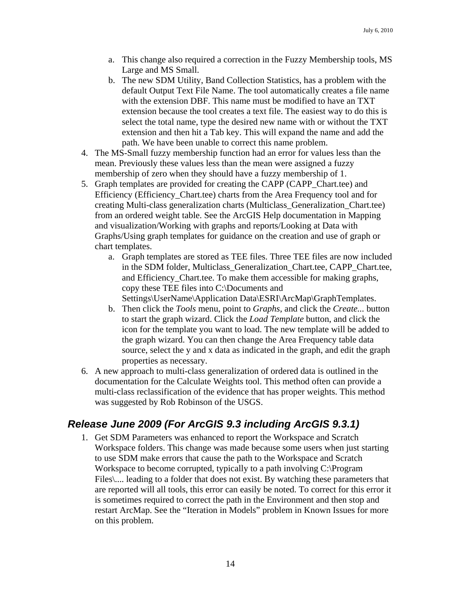- a. This change also required a correction in the Fuzzy Membership tools, MS Large and MS Small.
- b. The new SDM Utility, Band Collection Statistics, has a problem with the default Output Text File Name. The tool automatically creates a file name with the extension DBF. This name must be modified to have an TXT extension because the tool creates a text file. The easiest way to do this is select the total name, type the desired new name with or without the TXT extension and then hit a Tab key. This will expand the name and add the path. We have been unable to correct this name problem.
- 4. The MS-Small fuzzy membership function had an error for values less than the mean. Previously these values less than the mean were assigned a fuzzy membership of zero when they should have a fuzzy membership of 1.
- 5. Graph templates are provided for creating the CAPP (CAPP\_Chart.tee) and Efficiency (Efficiency\_Chart.tee) charts from the Area Frequency tool and for creating Multi-class generalization charts (Multiclass\_Generalization\_Chart.tee) from an ordered weight table. See the ArcGIS Help documentation in Mapping and visualization/Working with graphs and reports/Looking at Data with Graphs/Using graph templates for guidance on the creation and use of graph or chart templates.
	- a. Graph templates are stored as TEE files. Three TEE files are now included in the SDM folder, Multiclass\_Generalization\_Chart.tee, CAPP\_Chart.tee, and Efficiency Chart.tee. To make them accessible for making graphs, copy these TEE files into C:\Documents and Settings\UserName\Application Data\ESRI\ArcMap\GraphTemplates.
	- b. Then click the *Tools* menu, point to *Graphs*, and click the *Create...* button to start the graph wizard. Click the *Load Template* button, and click the icon for the template you want to load. The new template will be added to the graph wizard. You can then change the Area Frequency table data source, select the y and x data as indicated in the graph, and edit the graph properties as necessary.
- 6. A new approach to multi-class generalization of ordered data is outlined in the documentation for the Calculate Weights tool. This method often can provide a multi-class reclassification of the evidence that has proper weights. This method was suggested by Rob Robinson of the USGS.

# *Release June 2009 (For ArcGIS 9.3 including ArcGIS 9.3.1)*

1. Get SDM Parameters was enhanced to report the Workspace and Scratch Workspace folders. This change was made because some users when just starting to use SDM make errors that cause the path to the Workspace and Scratch Workspace to become corrupted, typically to a path involving C:\Program Files\.... leading to a folder that does not exist. By watching these parameters that are reported will all tools, this error can easily be noted. To correct for this error it is sometimes required to correct the path in the Environment and then stop and restart ArcMap. See the "Iteration in Models" problem in Known Issues for more on this problem.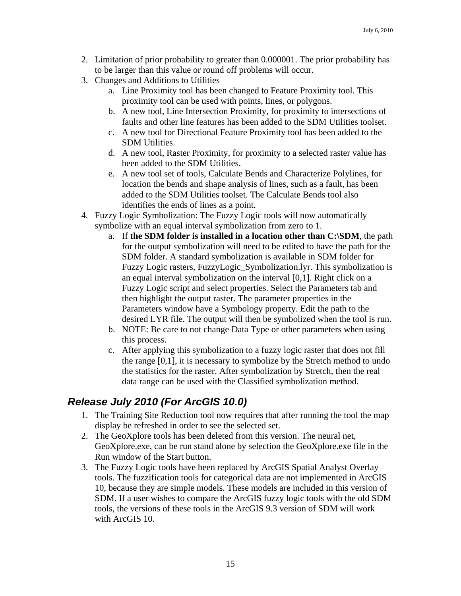- 2. Limitation of prior probability to greater than 0.000001. The prior probability has to be larger than this value or round off problems will occur.
- 3. Changes and Additions to Utilities
	- a. Line Proximity tool has been changed to Feature Proximity tool. This proximity tool can be used with points, lines, or polygons.
	- b. A new tool, Line Intersection Proximity, for proximity to intersections of faults and other line features has been added to the SDM Utilities toolset.
	- c. A new tool for Directional Feature Proximity tool has been added to the SDM Utilities.
	- d. A new tool, Raster Proximity, for proximity to a selected raster value has been added to the SDM Utilities.
	- e. A new tool set of tools, Calculate Bends and Characterize Polylines, for location the bends and shape analysis of lines, such as a fault, has been added to the SDM Utilities toolset. The Calculate Bends tool also identifies the ends of lines as a point.
- 4. Fuzzy Logic Symbolization: The Fuzzy Logic tools will now automatically symbolize with an equal interval symbolization from zero to 1.
	- a. If **the SDM folder is installed in a location other than C:\SDM**, the path for the output symbolization will need to be edited to have the path for the SDM folder. A standard symbolization is available in SDM folder for Fuzzy Logic rasters, FuzzyLogic\_Symbolization.lyr. This symbolization is an equal interval symbolization on the interval [0,1]. Right click on a Fuzzy Logic script and select properties. Select the Parameters tab and then highlight the output raster. The parameter properties in the Parameters window have a Symbology property. Edit the path to the desired LYR file. The output will then be symbolized when the tool is run.
	- b. NOTE: Be care to not change Data Type or other parameters when using this process.
	- c. After applying this symbolization to a fuzzy logic raster that does not fill the range [0,1], it is necessary to symbolize by the Stretch method to undo the statistics for the raster. After symbolization by Stretch, then the real data range can be used with the Classified symbolization method.

#### *Release July 2010 (For ArcGIS 10.0)*

- 1. The Training Site Reduction tool now requires that after running the tool the map display be refreshed in order to see the selected set.
- 2. The GeoXplore tools has been deleted from this version. The neural net, GeoXplore.exe, can be run stand alone by selection the GeoXplore.exe file in the Run window of the Start button.
- 3. The Fuzzy Logic tools have been replaced by ArcGIS Spatial Analyst Overlay tools. The fuzzification tools for categorical data are not implemented in ArcGIS 10, because they are simple models. These models are included in this version of SDM. If a user wishes to compare the ArcGIS fuzzy logic tools with the old SDM tools, the versions of these tools in the ArcGIS 9.3 version of SDM will work with ArcGIS 10.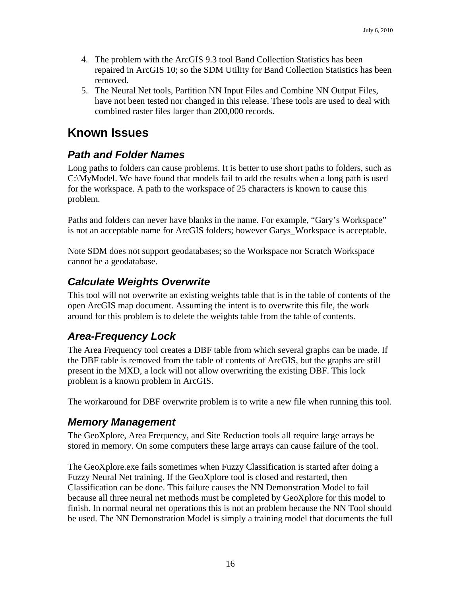- 4. The problem with the ArcGIS 9.3 tool Band Collection Statistics has been repaired in ArcGIS 10; so the SDM Utility for Band Collection Statistics has been removed.
- 5. The Neural Net tools, Partition NN Input Files and Combine NN Output Files, have not been tested nor changed in this release. These tools are used to deal with combined raster files larger than 200,000 records.

# **Known Issues**

# *Path and Folder Names*

Long paths to folders can cause problems. It is better to use short paths to folders, such as C:\MyModel. We have found that models fail to add the results when a long path is used for the workspace. A path to the workspace of 25 characters is known to cause this problem.

Paths and folders can never have blanks in the name. For example, "Gary's Workspace" is not an acceptable name for ArcGIS folders; however Garys\_Workspace is acceptable.

Note SDM does not support geodatabases; so the Workspace nor Scratch Workspace cannot be a geodatabase.

# *Calculate Weights Overwrite*

This tool will not overwrite an existing weights table that is in the table of contents of the open ArcGIS map document. Assuming the intent is to overwrite this file, the work around for this problem is to delete the weights table from the table of contents.

# *Area-Frequency Lock*

The Area Frequency tool creates a DBF table from which several graphs can be made. If the DBF table is removed from the table of contents of ArcGIS, but the graphs are still present in the MXD, a lock will not allow overwriting the existing DBF. This lock problem is a known problem in ArcGIS.

The workaround for DBF overwrite problem is to write a new file when running this tool.

# *Memory Management*

The GeoXplore, Area Frequency, and Site Reduction tools all require large arrays be stored in memory. On some computers these large arrays can cause failure of the tool.

The GeoXplore.exe fails sometimes when Fuzzy Classification is started after doing a Fuzzy Neural Net training. If the GeoXplore tool is closed and restarted, then Classification can be done. This failure causes the NN Demonstration Model to fail because all three neural net methods must be completed by GeoXplore for this model to finish. In normal neural net operations this is not an problem because the NN Tool should be used. The NN Demonstration Model is simply a training model that documents the full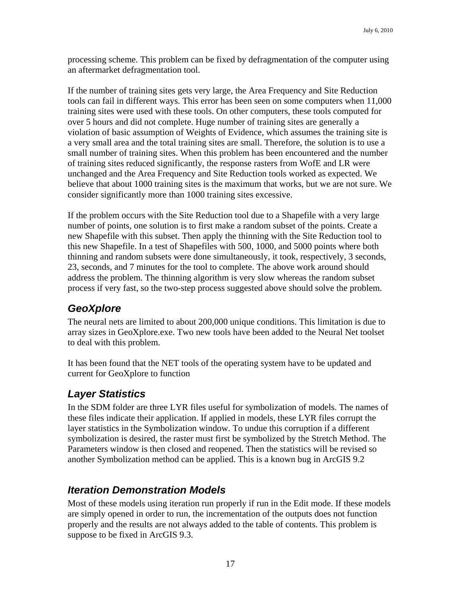processing scheme. This problem can be fixed by defragmentation of the computer using an aftermarket defragmentation tool.

If the number of training sites gets very large, the Area Frequency and Site Reduction tools can fail in different ways. This error has been seen on some computers when 11,000 training sites were used with these tools. On other computers, these tools computed for over 5 hours and did not complete. Huge number of training sites are generally a violation of basic assumption of Weights of Evidence, which assumes the training site is a very small area and the total training sites are small. Therefore, the solution is to use a small number of training sites. When this problem has been encountered and the number of training sites reduced significantly, the response rasters from WofE and LR were unchanged and the Area Frequency and Site Reduction tools worked as expected. We believe that about 1000 training sites is the maximum that works, but we are not sure. We consider significantly more than 1000 training sites excessive.

If the problem occurs with the Site Reduction tool due to a Shapefile with a very large number of points, one solution is to first make a random subset of the points. Create a new Shapefile with this subset. Then apply the thinning with the Site Reduction tool to this new Shapefile. In a test of Shapefiles with 500, 1000, and 5000 points where both thinning and random subsets were done simultaneously, it took, respectively, 3 seconds, 23, seconds, and 7 minutes for the tool to complete. The above work around should address the problem. The thinning algorithm is very slow whereas the random subset process if very fast, so the two-step process suggested above should solve the problem.

# *GeoXplore*

The neural nets are limited to about 200,000 unique conditions. This limitation is due to array sizes in GeoXplore.exe. Two new tools have been added to the Neural Net toolset to deal with this problem.

It has been found that the NET tools of the operating system have to be updated and current for GeoXplore to function

# *Layer Statistics*

In the SDM folder are three LYR files useful for symbolization of models. The names of these files indicate their application. If applied in models, these LYR files corrupt the layer statistics in the Symbolization window. To undue this corruption if a different symbolization is desired, the raster must first be symbolized by the Stretch Method. The Parameters window is then closed and reopened. Then the statistics will be revised so another Symbolization method can be applied. This is a known bug in ArcGIS 9.2

### *Iteration Demonstration Models*

Most of these models using iteration run properly if run in the Edit mode. If these models are simply opened in order to run, the incrementation of the outputs does not function properly and the results are not always added to the table of contents. This problem is suppose to be fixed in ArcGIS 9.3.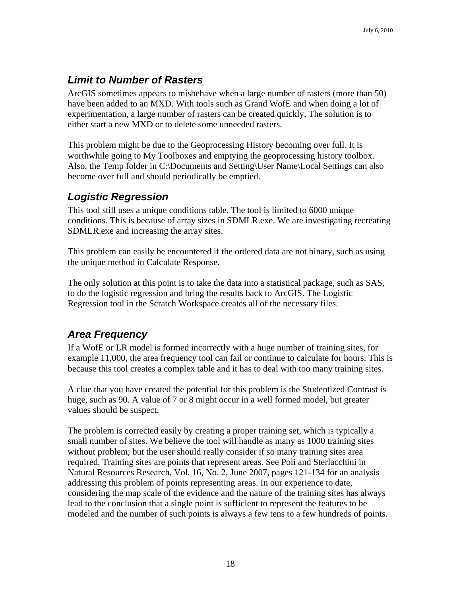### *Limit to Number of Rasters*

ArcGIS sometimes appears to misbehave when a large number of rasters (more than 50) have been added to an MXD. With tools such as Grand WofE and when doing a lot of experimentation, a large number of rasters can be created quickly. The solution is to either start a new MXD or to delete some unneeded rasters.

This problem might be due to the Geoprocessing History becoming over full. It is worthwhile going to My Toolboxes and emptying the geoprocessing history toolbox. Also, the Temp folder in C:\Documents and Setting\User Name\Local Settings can also become over full and should periodically be emptied.

### *Logistic Regression*

This tool still uses a unique conditions table. The tool is limited to 6000 unique conditions. This is because of array sizes in SDMLR.exe. We are investigating recreating SDMLR.exe and increasing the array sites.

This problem can easily be encountered if the ordered data are not binary, such as using the unique method in Calculate Response.

The only solution at this point is to take the data into a statistical package, such as SAS, to do the logistic regression and bring the results back to ArcGIS. The Logistic Regression tool in the Scratch Workspace creates all of the necessary files.

# *Area Frequency*

If a WofE or LR model is formed incorrectly with a huge number of training sites, for example 11,000, the area frequency tool can fail or continue to calculate for hours. This is because this tool creates a complex table and it has to deal with too many training sites.

A clue that you have created the potential for this problem is the Studentized Contrast is huge, such as 90. A value of 7 or 8 might occur in a well formed model, but greater values should be suspect.

The problem is corrected easily by creating a proper training set, which is typically a small number of sites. We believe the tool will handle as many as 1000 training sites without problem; but the user should really consider if so many training sites area required. Training sites are points that represent areas. See Poli and Sterlacchini in Natural Resources Research, Vol. 16, No. 2, June 2007, pages 121-134 for an analysis addressing this problem of points representing areas. In our experience to date, considering the map scale of the evidence and the nature of the training sites has always lead to the conclusion that a single point is sufficient to represent the features to be modeled and the number of such points is always a few tens to a few hundreds of points.